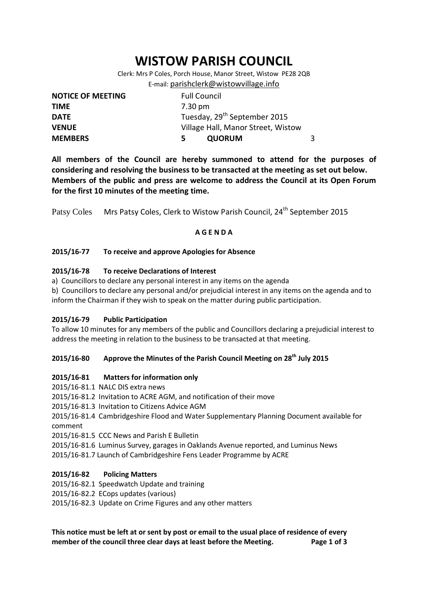# **WISTOW PARISH COUNCIL**

Clerk: Mrs P Coles, Porch House, Manor Street, Wistow PE28 2QB E-mail: [parishclerk@wistowvillage.info](mailto:parishclerk@wistowvillage.info)

| <b>NOTICE OF MEETING</b> | <b>Full Council</b>                      |   |
|--------------------------|------------------------------------------|---|
| <b>TIME</b>              | 7.30 pm                                  |   |
| <b>DATE</b>              | Tuesday, 29 <sup>th</sup> September 2015 |   |
| <b>VENUE</b>             | Village Hall, Manor Street, Wistow       |   |
| <b>MEMBERS</b>           | <b>QUORUM</b><br>5                       | 3 |

**All members of the Council are hereby summoned to attend for the purposes of considering and resolving the business to be transacted at the meeting as set out below. Members of the public and press are welcome to address the Council at its Open Forum for the first 10 minutes of the meeting time.**

Patsy Coles Mrs Patsy Coles, Clerk to Wistow Parish Council, 24<sup>th</sup> September 2015

# **A G E N D A**

## **2015/16-77 To receive and approve Apologies for Absence**

## **2015/16-78 To receive Declarations of Interest**

- a) Councillors to declare any personal interest in any items on the agenda
- b) Councillors to declare any personal and/or prejudicial interest in any items on the agenda and to inform the Chairman if they wish to speak on the matter during public participation.

#### **2015/16-79 Public Participation**

To allow 10 minutes for any members of the public and Councillors declaring a prejudicial interest to address the meeting in relation to the business to be transacted at that meeting.

# **2015/16-80 Approve the Minutes of the Parish Council Meeting on 28th July 2015**

#### **2015/16-81 Matters for information only**

- 2015/16-81.1 NALC DIS extra news
- 2015/16-81.2 Invitation to ACRE AGM, and notification of their move
- 2015/16-81.3 Invitation to Citizens Advice AGM
- 2015/16-81.4 Cambridgeshire Flood and Water Supplementary Planning Document available for comment
- 2015/16-81.5 CCC News and Parish E Bulletin
- 2015/16-81.6 Luminus Survey, garages in Oaklands Avenue reported, and Luminus News
- 2015/16-81.7 Launch of Cambridgeshire Fens Leader Programme by ACRE

# **2015/16-82 Policing Matters**

- 2015/16-82.1 Speedwatch Update and training
- 2015/16-82.2 ECops updates (various)
- 2015/16-82.3 Update on Crime Figures and any other matters

**This notice must be left at or sent by post or email to the usual place of residence of every member of the council three clear days at least before the Meeting. Page 1 of 3**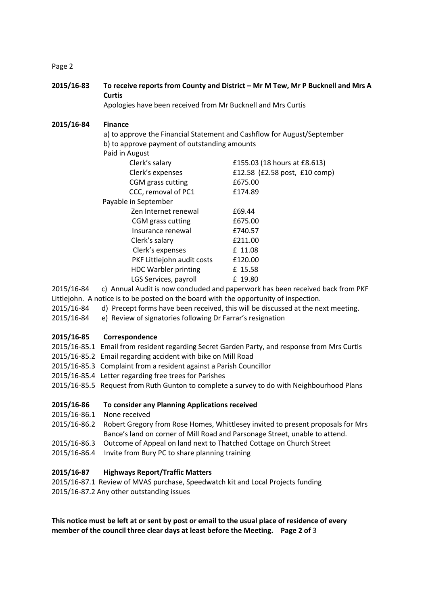#### Page 2

**2015/16-83 To receive reports from County and District – Mr M Tew, Mr P Bucknell and Mrs A Curtis**

Apologies have been received from Mr Bucknell and Mrs Curtis

## **2015/16-84 Finance**

a) to approve the Financial Statement and Cashflow for August/September b) to approve payment of outstanding amounts Paid in August

| Clerk's salary              | £155.03 (18 hours at £8.613)  |
|-----------------------------|-------------------------------|
| Clerk's expenses            | £12.58 (£2.58 post, £10 comp) |
| CGM grass cutting           | £675.00                       |
| CCC, removal of PC1         | £174.89                       |
| Payable in September        |                               |
| Zen Internet renewal        | £69.44                        |
| CGM grass cutting           | £675.00                       |
| Insurance renewal           | £740.57                       |
| Clerk's salary              | £211.00                       |
| Clerk's expenses            | £ 11.08                       |
| PKF Littlejohn audit costs  | £120.00                       |
| <b>HDC Warbler printing</b> | £ 15.58                       |
| LGS Services, payroll       | £ 19.80                       |

2015/16-84 c) Annual Audit is now concluded and paperwork has been received back from PKF Littlejohn. A notice is to be posted on the board with the opportunity of inspection.

- 2015/16-84 d) Precept forms have been received, this will be discussed at the next meeting.
- 2015/16-84 e) Review of signatories following Dr Farrar's resignation

# **2015/16-85 Correspondence**

- 2015/16-85.1 Email from resident regarding Secret Garden Party, and response from Mrs Curtis
- 2015/16-85.2 Email regarding accident with bike on Mill Road
- 2015/16-85.3 Complaint from a resident against a Parish Councillor
- 2015/16-85.4 Letter regarding free trees for Parishes
- 2015/16-85.5 Request from Ruth Gunton to complete a survey to do with Neighbourhood Plans

# **2015/16-86 To consider any Planning Applications received**

- 2015/16-86.1 None received
- 2015/16-86.2 Robert Gregory from Rose Homes, Whittlesey invited to present proposals for Mrs Bance's land on corner of Mill Road and Parsonage Street, unable to attend.
- 2015/16-86.3 Outcome of Appeal on land next to Thatched Cottage on Church Street
- 2015/16-86.4 Invite from Bury PC to share planning training

# **2015/16-87 Highways Report/Traffic Matters**

2015/16-87.1 Review of MVAS purchase, Speedwatch kit and Local Projects funding 2015/16-87.2 Any other outstanding issues

**This notice must be left at or sent by post or email to the usual place of residence of every member of the council three clear days at least before the Meeting. Page 2 of** 3